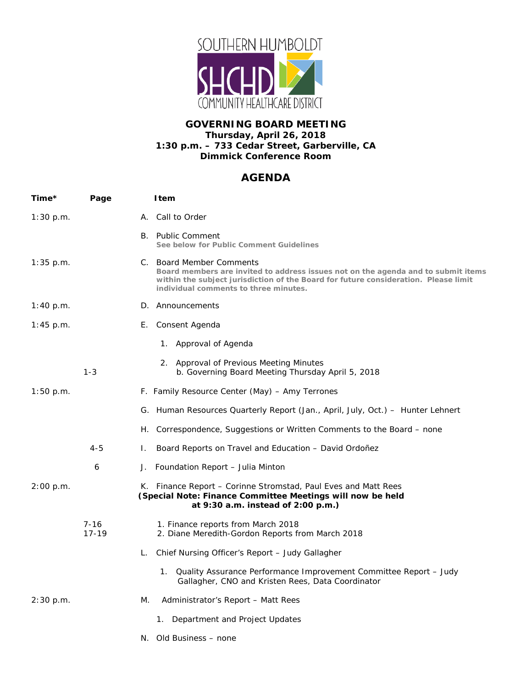

## **GOVERNING BOARD MEETING Thursday, April 26, 2018 1:30 p.m. – 733 Cedar Street, Garberville, CA Dimmick Conference Room**

## **AGENDA**

| Time*       | Page                |    | <b>I</b> tem                                                                                                                                                                                                                                  |
|-------------|---------------------|----|-----------------------------------------------------------------------------------------------------------------------------------------------------------------------------------------------------------------------------------------------|
| 1:30 p.m.   |                     |    | A. Call to Order                                                                                                                                                                                                                              |
|             |                     |    | B. Public Comment<br>See below for Public Comment Guidelines                                                                                                                                                                                  |
| $1:35$ p.m. |                     |    | C. Board Member Comments<br>Board members are invited to address issues not on the agenda and to submit items<br>within the subject jurisdiction of the Board for future consideration. Please limit<br>individual comments to three minutes. |
| 1:40 p.m.   |                     |    | D. Announcements                                                                                                                                                                                                                              |
| 1:45 p.m.   |                     |    | E. Consent Agenda                                                                                                                                                                                                                             |
|             |                     |    | 1. Approval of Agenda                                                                                                                                                                                                                         |
|             | $1 - 3$             |    | 2. Approval of Previous Meeting Minutes<br>b. Governing Board Meeting Thursday April 5, 2018                                                                                                                                                  |
| 1:50 p.m.   |                     |    | F. Family Resource Center (May) – Amy Terrones                                                                                                                                                                                                |
|             |                     |    | G. Human Resources Quarterly Report (Jan., April, July, Oct.) – Hunter Lehnert                                                                                                                                                                |
|             |                     | Н. | Correspondence, Suggestions or Written Comments to the Board – none                                                                                                                                                                           |
|             | $4 - 5$             | Ι. | Board Reports on Travel and Education - David Ordoñez                                                                                                                                                                                         |
|             | 6                   | J. | Foundation Report - Julia Minton                                                                                                                                                                                                              |
| 2:00 p.m.   |                     |    | K. Finance Report – Corinne Stromstad, Paul Eves and Matt Rees<br>(Special Note: Finance Committee Meetings will now be held<br>at 9:30 a.m. instead of 2:00 p.m.)                                                                            |
|             | $7 - 16$<br>$17-19$ |    | 1. Finance reports from March 2018<br>2. Diane Meredith-Gordon Reports from March 2018                                                                                                                                                        |
|             |                     | L. | Chief Nursing Officer's Report – Judy Gallagher                                                                                                                                                                                               |
|             |                     |    | 1. Quality Assurance Performance Improvement Committee Report – Judy<br>Gallagher, CNO and Kristen Rees, Data Coordinator                                                                                                                     |
| 2:30 p.m.   |                     | M. | Administrator's Report – Matt Rees                                                                                                                                                                                                            |
|             |                     |    | Department and Project Updates<br>1.                                                                                                                                                                                                          |
|             |                     |    | N. Old Business - none                                                                                                                                                                                                                        |